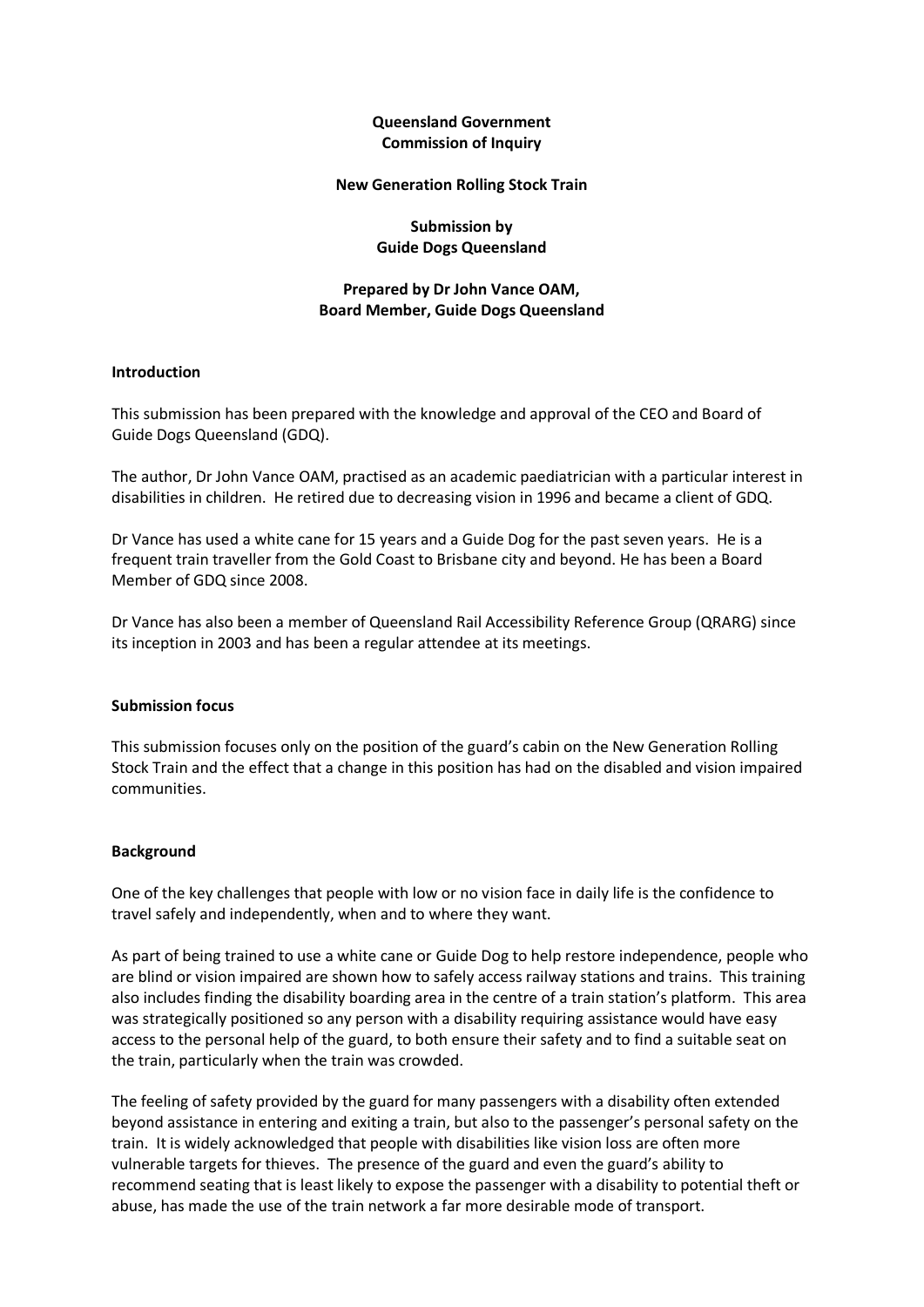# **Queensland Government Commission of Inquiry**

#### **New Generation Rolling Stock Train**

**Submission by Guide Dogs Queensland**

# **Prepared by Dr John Vance OAM, Board Member, Guide Dogs Queensland**

### **Introduction**

This submission has been prepared with the knowledge and approval of the CEO and Board of Guide Dogs Queensland (GDQ).

The author, Dr John Vance OAM, practised as an academic paediatrician with a particular interest in disabilities in children. He retired due to decreasing vision in 1996 and became a client of GDQ.

Dr Vance has used a white cane for 15 years and a Guide Dog for the past seven years. He is a frequent train traveller from the Gold Coast to Brisbane city and beyond. He has been a Board Member of GDQ since 2008.

Dr Vance has also been a member of Queensland Rail Accessibility Reference Group (QRARG) since its inception in 2003 and has been a regular attendee at its meetings.

## **Submission focus**

This submission focuses only on the position of the guard's cabin on the New Generation Rolling Stock Train and the effect that a change in this position has had on the disabled and vision impaired communities.

#### **Background**

One of the key challenges that people with low or no vision face in daily life is the confidence to travel safely and independently, when and to where they want.

As part of being trained to use a white cane or Guide Dog to help restore independence, people who are blind or vision impaired are shown how to safely access railway stations and trains. This training also includes finding the disability boarding area in the centre of a train station's platform. This area was strategically positioned so any person with a disability requiring assistance would have easy access to the personal help of the guard, to both ensure their safety and to find a suitable seat on the train, particularly when the train was crowded.

The feeling of safety provided by the guard for many passengers with a disability often extended beyond assistance in entering and exiting a train, but also to the passenger's personal safety on the train. It is widely acknowledged that people with disabilities like vision loss are often more vulnerable targets for thieves. The presence of the guard and even the guard's ability to recommend seating that is least likely to expose the passenger with a disability to potential theft or abuse, has made the use of the train network a far more desirable mode of transport.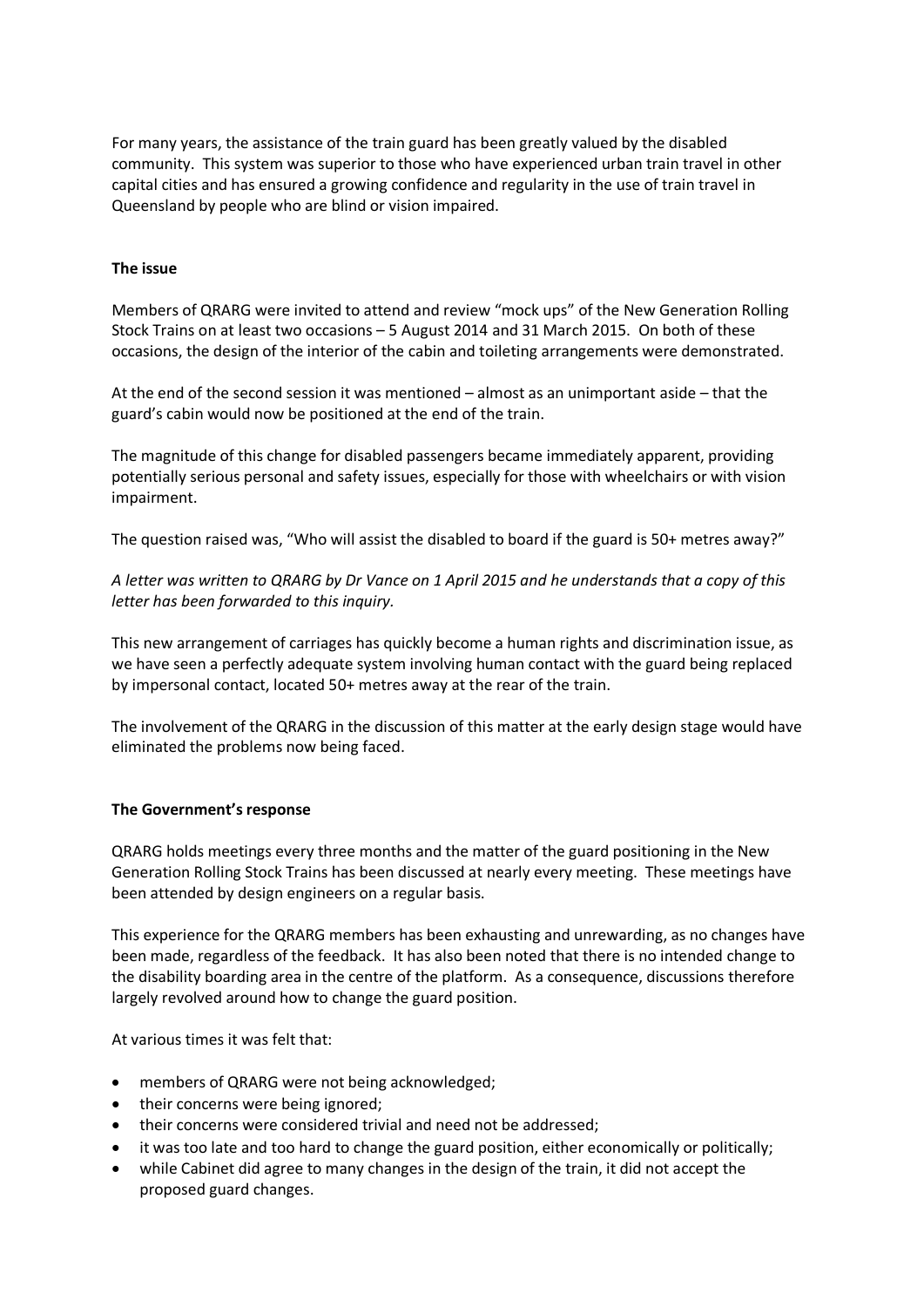For many years, the assistance of the train guard has been greatly valued by the disabled community. This system was superior to those who have experienced urban train travel in other capital cities and has ensured a growing confidence and regularity in the use of train travel in Queensland by people who are blind or vision impaired.

## **The issue**

Members of QRARG were invited to attend and review "mock ups" of the New Generation Rolling Stock Trains on at least two occasions – 5 August 2014 and 31 March 2015. On both of these occasions, the design of the interior of the cabin and toileting arrangements were demonstrated.

At the end of the second session it was mentioned – almost as an unimportant aside – that the guard's cabin would now be positioned at the end of the train.

The magnitude of this change for disabled passengers became immediately apparent, providing potentially serious personal and safety issues, especially for those with wheelchairs or with vision impairment.

The question raised was, "Who will assist the disabled to board if the guard is 50+ metres away?"

*A letter was written to QRARG by Dr Vance on 1 April 2015 and he understands that a copy of this letter has been forwarded to this inquiry.*

This new arrangement of carriages has quickly become a human rights and discrimination issue, as we have seen a perfectly adequate system involving human contact with the guard being replaced by impersonal contact, located 50+ metres away at the rear of the train.

The involvement of the QRARG in the discussion of this matter at the early design stage would have eliminated the problems now being faced.

#### **The Government's response**

QRARG holds meetings every three months and the matter of the guard positioning in the New Generation Rolling Stock Trains has been discussed at nearly every meeting. These meetings have been attended by design engineers on a regular basis.

This experience for the QRARG members has been exhausting and unrewarding, as no changes have been made, regardless of the feedback. It has also been noted that there is no intended change to the disability boarding area in the centre of the platform. As a consequence, discussions therefore largely revolved around how to change the guard position.

At various times it was felt that:

- members of QRARG were not being acknowledged;
- their concerns were being ignored;
- their concerns were considered trivial and need not be addressed;
- it was too late and too hard to change the guard position, either economically or politically;
- while Cabinet did agree to many changes in the design of the train, it did not accept the proposed guard changes.